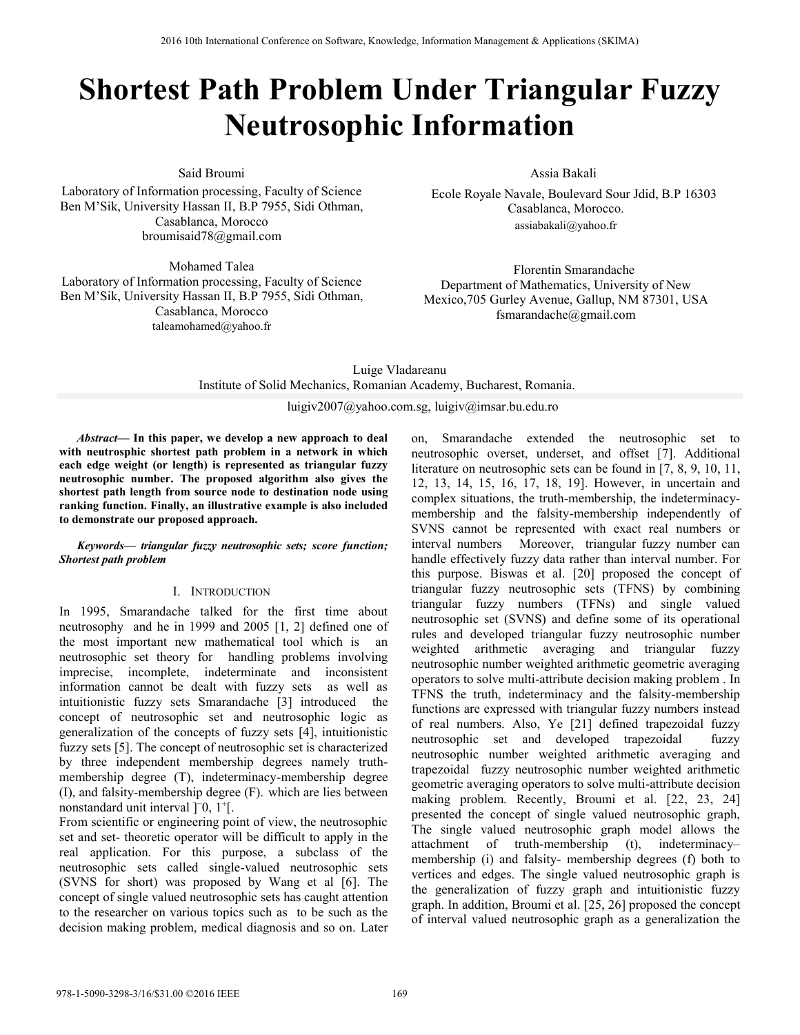# **Shortest Path Problem Under Triangular Fuzzy Neutrosophic Information**

Said Broumi

Laboratory of Information processing, Faculty of Science Ben M'Sik, University Hassan II, B.P 7955, Sidi Othman, Casablanca, Morocco broumisaid78@gmail.com

Mohamed Talea Laboratory of Information processing, Faculty of Science Ben M'Sik, University Hassan II, B.P 7955, Sidi Othman, Casablanca, Morocco taleamohamed@yahoo.fr

Assia Bakali

Ecole Royale Navale, Boulevard Sour Jdid, B.P 16303 Casablanca, Morocco. assiabakali@yahoo.fr

Florentin Smarandache Department of Mathematics, University of New Mexico,705 Gurley Avenue, Gallup, NM 87301, USA fsmarandache@gmail.com

Luige Vladareanu Institute of Solid Mechanics, Romanian Academy, Bucharest, Romania. luigiv2007@yahoo.com.sg, luigiv@imsar.bu.edu.ro

*Abstract***— In this paper, we develop a new approach to deal with neutrosphic shortest path problem in a network in which each edge weight (or length) is represented as triangular fuzzy neutrosophic number. The proposed algorithm also gives the shortest path length from source node to destination node using ranking function. Finally, an illustrative example is also included to demonstrate our proposed approach.** 

## *Keywords— triangular fuzzy neutrosophic sets; score function; Shortest path problem*

# I. INTRODUCTION

In 1995, Smarandache talked for the first time about neutrosophy and he in 1999 and 2005 [1, 2] defined one of the most important new mathematical tool which is an neutrosophic set theory for handling problems involving imprecise, incomplete, indeterminate and inconsistent information cannot be dealt with fuzzy sets as well as intuitionistic fuzzy sets Smarandache [3] introduced the concept of neutrosophic set and neutrosophic logic as generalization of the concepts of fuzzy sets [4], intuitionistic fuzzy sets [5]. The concept of neutrosophic set is characterized by three independent membership degrees namely truthmembership degree (T), indeterminacy-membership degree (I), and falsity-membership degree (F). which are lies between nonstandard unit interval ]<sup>−</sup>0, 1+[.

From scientific or engineering point of view, the neutrosophic set and set- theoretic operator will be difficult to apply in the real application. For this purpose, a subclass of the neutrosophic sets called single-valued neutrosophic sets (SVNS for short) was proposed by Wang et al [6]. The concept of single valued neutrosophic sets has caught attention to the researcher on various topics such as to be such as the decision making problem, medical diagnosis and so on. Later on, Smarandache extended the neutrosophic set to neutrosophic overset, underset, and offset [7]. Additional literature on neutrosophic sets can be found in [7, 8, 9, 10, 11, 12, 13, 14, 15, 16, 17, 18, 19]. However, in uncertain and complex situations, the truth-membership, the indeterminacymembership and the falsity-membership independently of SVNS cannot be represented with exact real numbers or interval numbers Moreover, triangular fuzzy number can handle effectively fuzzy data rather than interval number. For this purpose. Biswas et al. [20] proposed the concept of triangular fuzzy neutrosophic sets (TFNS) by combining triangular fuzzy numbers (TFNs) and single valued neutrosophic set (SVNS) and define some of its operational rules and developed triangular fuzzy neutrosophic number weighted arithmetic averaging and triangular fuzzy neutrosophic number weighted arithmetic geometric averaging operators to solve multi-attribute decision making problem . In TFNS the truth, indeterminacy and the falsity-membership functions are expressed with triangular fuzzy numbers instead of real numbers. Also, Ye [21] defined trapezoidal fuzzy neutrosophic set and developed trapezoidal fuzzy neutrosophic number weighted arithmetic averaging and trapezoidal fuzzy neutrosophic number weighted arithmetic geometric averaging operators to solve multi-attribute decision making problem. Recently, Broumi et al. [22, 23, 24] presented the concept of single valued neutrosophic graph, The single valued neutrosophic graph model allows the attachment of truth-membership (t), indeterminacy– membership (i) and falsity- membership degrees (f) both to vertices and edges. The single valued neutrosophic graph is the generalization of fuzzy graph and intuitionistic fuzzy graph. In addition, Broumi et al. [25, 26] proposed the concept of interval valued neutrosophic graph as a generalization the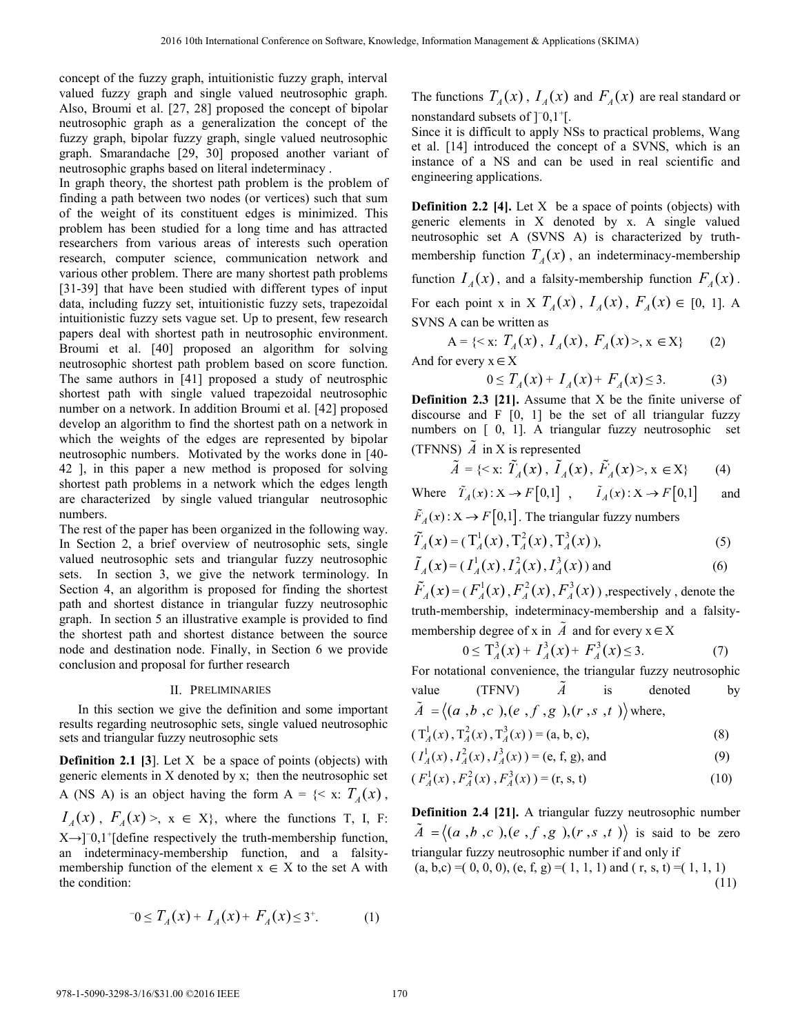concept of the fuzzy graph, intuitionistic fuzzy graph, interval valued fuzzy graph and single valued neutrosophic graph. Also, Broumi et al. [27, 28] proposed the concept of bipolar neutrosophic graph as a generalization the concept of the fuzzy graph, bipolar fuzzy graph, single valued neutrosophic graph. Smarandache [29, 30] proposed another variant of neutrosophic graphs based on literal indeterminacy .

In graph theory, the shortest path problem is the problem of finding a path between two nodes (or vertices) such that sum of the weight of its constituent edges is minimized. This problem has been studied for a long time and has attracted researchers from various areas of interests such operation research, computer science, communication network and various other problem. There are many shortest path problems [31-39] that have been studied with different types of input data, including fuzzy set, intuitionistic fuzzy sets, trapezoidal intuitionistic fuzzy sets vague set. Up to present, few research papers deal with shortest path in neutrosophic environment. Broumi et al. [40] proposed an algorithm for solving neutrosophic shortest path problem based on score function. The same authors in [41] proposed a study of neutrosphic shortest path with single valued trapezoidal neutrosophic number on a network. In addition Broumi et al. [42] proposed develop an algorithm to find the shortest path on a network in which the weights of the edges are represented by bipolar neutrosophic numbers. Motivated by the works done in [40- 42 ], in this paper a new method is proposed for solving shortest path problems in a network which the edges length are characterized by single valued triangular neutrosophic numbers.

The rest of the paper has been organized in the following way. In Section 2, a brief overview of neutrosophic sets, single valued neutrosophic sets and triangular fuzzy neutrosophic sets. In section 3, we give the network terminology. In Section 4, an algorithm is proposed for finding the shortest path and shortest distance in triangular fuzzy neutrosophic graph. In section 5 an illustrative example is provided to find the shortest path and shortest distance between the source node and destination node. Finally, in Section 6 we provide conclusion and proposal for further research

#### II. PRELIMINARIES

In this section we give the definition and some important results regarding neutrosophic sets, single valued neutrosophic sets and triangular fuzzy neutrosophic sets

**Definition 2.1 [3]**. Let X be a space of points (objects) with generic elements in X denoted by x; then the neutrosophic set A (NS A) is an object having the form  $A = \{ \langle x, T_A(x) \rangle, \}$  $I_A(x)$ ,  $F_A(x)$ ,  $x \in X$ , where the functions T, I, F: X→]−0,1+[define respectively the truth-membership function, an indeterminacy-membership function, and a falsitymembership function of the element  $x \in X$  to the set A with the condition:

$$
-0 \le T_A(x) + I_A(x) + F_A(x) \le 3^+.\tag{1}
$$

The functions  $T_A(x)$ ,  $I_A(x)$  and  $F_A(x)$  are real standard or nonstandard subsets of  $]$ <sup>-</sup>0,1<sup>+</sup>[.

Since it is difficult to apply NSs to practical problems, Wang et al. [14] introduced the concept of a SVNS, which is an instance of a NS and can be used in real scientific and engineering applications.

**Definition 2.2 [4].** Let X be a space of points (objects) with generic elements in X denoted by x. A single valued neutrosophic set A (SVNS A) is characterized by truthmembership function  $T_A(x)$ , an indeterminacy-membership function  $I_A(x)$ , and a falsity-membership function  $F_A(x)$ . For each point x in X  $T_A(x)$ ,  $I_A(x)$ ,  $F_A(x) \in [0, 1]$ . A SVNS A can be written as

 $A = \{ \langle x : T_A(x), I_A(x), F_A(x) \rangle, x \in X \}$  (2) And for every  $x \in X$ 

$$
0 \le T_A(x) + I_A(x) + F_A(x) \le 3. \tag{3}
$$

**Definition 2.3 [21].** Assume that X be the finite universe of discourse and F [0, 1] be the set of all triangular fuzzy numbers on [ 0, 1]. A triangular fuzzy neutrosophic set (TFNNS) *A* in X is represented

$$
\tilde{A} = \{ \langle x : \tilde{T}_A(x), \tilde{I}_A(x), \tilde{F}_A(x) \rangle, x \in X \} \tag{4}
$$

Where  $\tilde{T}_A(x): X \to F[0,1]$ ,  $\tilde{I}_A(x): X \to F[0,1]$  and

 $\tilde{F}_A(x): X \to F[0,1]$ . The triangular fuzzy numbers

$$
\tilde{T}_A(x) = (\mathbf{T}_A^1(x), \mathbf{T}_A^2(x), \mathbf{T}_A^3(x)), \tag{5}
$$

$$
\tilde{I}_A(x) = (I_A^1(x), I_A^2(x), I_A^3(x))
$$
 and (6)

 $\tilde{F}_A(x) = (F_A^1(x), F_A^2(x), F_A^3(x))$ , respectively, denote the truth-membership, indeterminacy-membership and a falsitymembership degree of x in *A* and for every  $x \in X$ 

$$
0 \le T_A^3(x) + I_A^3(x) + F_A^3(x) \le 3. \tag{7}
$$

For notational convenience, the triangular fuzzy neutrosophic value (TFNV)  $\tilde{A}$  is denoted by

 $\tilde{A} = \langle (a, b, c), (e, f, g), (r, s, t) \rangle$  where,

$$
(T_A^1(x), T_A^2(x), T_A^3(x)) = (a, b, c),
$$
 (8)

$$
(I_A^1(x), I_A^2(x), I_A^3(x)) = (e, f, g), \text{ and}
$$
 (9)

$$
(F_A^1(x), F_A^2(x), F_A^3(x)) = (r, s, t)
$$
 (10)

**Definition 2.4 [21].** A triangular fuzzy neutrosophic number  $\tilde{A} = \langle (a, b, c), (e, f, g), (r, s, t) \rangle$  is said to be zero triangular fuzzy neutrosophic number if and only if  $(a, b, c) = (0, 0, 0), (e, f, g) = (1, 1, 1)$  and  $(r, s, t) = (1, 1, 1)$ (11)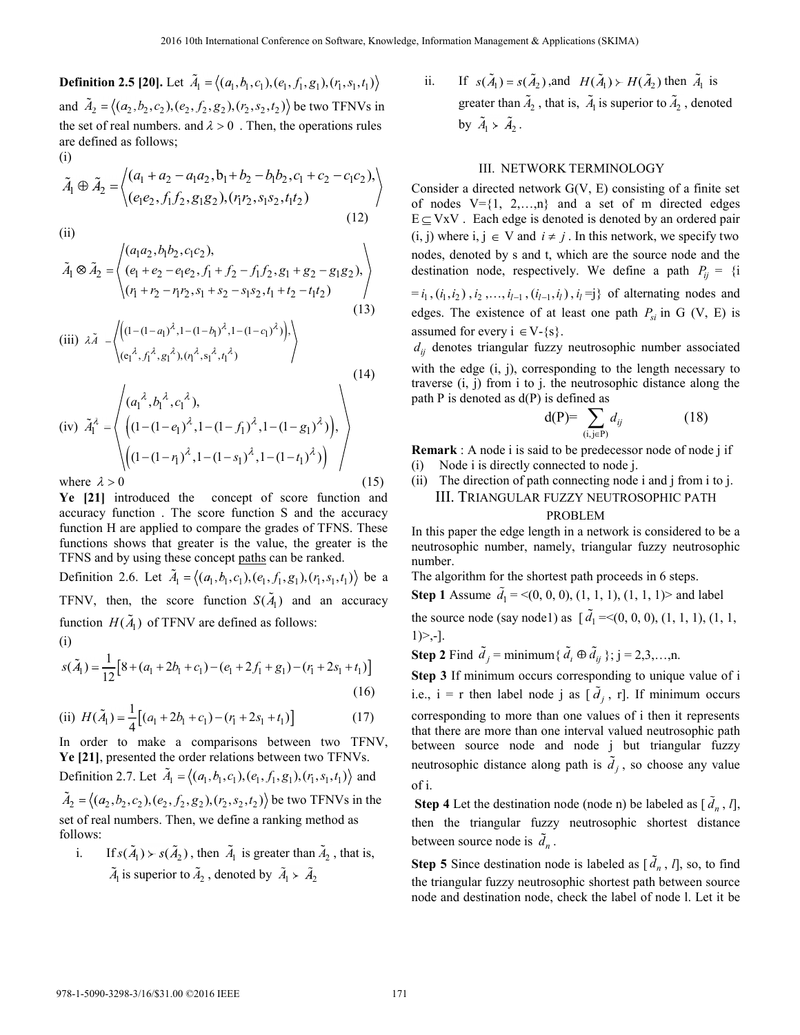**Definition 2.5 [20].** Let  $\tilde{A}_1 = \langle (a_1, b_1, c_1), (e_1, f_1, g_1), (r_1, s_1, t_1) \rangle$ and  $\tilde{A}_2 = \langle (a_2, b_2, c_2), (e_2, f_2, g_2), (r_2, s_2, t_2) \rangle$  be two TFNVs in the set of real numbers. and  $\lambda > 0$ . Then, the operations rules are defined as follows; (i)

$$
\tilde{A}_1 \oplus \tilde{A}_2 = \left\langle \begin{array}{l} (a_1 + a_2 - a_1 a_2, b_1 + b_2 - b_1 b_2, c_1 + c_2 - c_1 c_2), \\ (e_1 e_2, f_1 f_2, g_1 g_2), (r_1 r_2, s_1 s_2, t_1 t_2) \end{array} \right\rangle
$$
\n(12)

(ii)

$$
\tilde{A}_1 \otimes \tilde{A}_2 = \begin{pmatrix} (a_1 a_2, b_1 b_2, c_1 c_2), \\ (e_1 + e_2 - e_1 e_2, f_1 + f_2 - f_1 f_2, g_1 + g_2 - g_1 g_2), \\ (r_1 + r_2 - r_1 r_2, s_1 + s_2 - s_1 s_2, t_1 + t_2 - t_1 t_2) \\ (13)
$$

(iii) 
$$
\lambda \tilde{A} = \left\langle \left( (1 - (1 - a_1)^{\lambda}, 1 - (1 - b_1)^{\lambda}, 1 - (1 - c_1)^{\lambda}) \right), \left( (e_1^{\lambda}, f_1^{\lambda}, g_1^{\lambda}), (r_1^{\lambda}, s_1^{\lambda}, t_1^{\lambda}) \right) \right\rangle
$$
 (14)

$$
\text{(iv)} \quad \tilde{A}_1^{\lambda} = \left\{ \begin{pmatrix} (a_1^{\lambda}, b_1^{\lambda}, c_1^{\lambda}), & & \\ \left( (1 - (1 - e_1)^{\lambda}, 1 - (1 - f_1)^{\lambda}, 1 - (1 - g_1)^{\lambda}) \right), & \\ \left( (1 - (1 - r_1)^{\lambda}, 1 - (1 - s_1)^{\lambda}, 1 - (1 - t_1)^{\lambda}) \right) & & \\ \text{where } \lambda > 0 & & \end{pmatrix} \right\}
$$
\nwhere  $\lambda > 0$ 

\n(15)

**Ye [21]** introduced the concept of score function and accuracy function . The score function S and the accuracy function H are applied to compare the grades of TFNS. These functions shows that greater is the value, the greater is the TFNS and by using these concept paths can be ranked.

Definition 2.6. Let  $\tilde{A}_1 = \langle (a_1, b_1, c_1), (e_1, f_1, g_1), (r_1, s_1, t_1) \rangle$  be a TFNV, then, the score function  $S(\tilde{A}_1)$  and an accuracy function  $H(A_1)$  of TFNV are defined as follows:

$$
(i)
$$

$$
s(\tilde{A}_1) = \frac{1}{12} [8 + (a_1 + 2b_1 + c_1) - (e_1 + 2f_1 + g_1) - (r_1 + 2s_1 + t_1)]
$$
\n(16)

(ii) 
$$
H(\tilde{A}_1) = \frac{1}{4} [(a_1 + 2b_1 + c_1) - (r_1 + 2s_1 + t_1)]
$$
 (17)

In order to make a comparisons between two TFNV, **Ye [21]**, presented the order relations between two TFNVs. Definition 2.7. Let  $\tilde{A}_1 = \langle (a_1, b_1, c_1), (e_1, f_1, g_1), (r_1, s_1, t_1) \rangle$  and

 $\tilde{A}_2 = \langle (a_2, b_2, c_2), (e_2, f_2, g_2), (r_2, s_2, t_2) \rangle$  be two TFNVs in the set of real numbers. Then, we define a ranking method as follows:

i. If  $s(\tilde{A}_1) \succ s(\tilde{A}_2)$ , then  $\tilde{A}_1$  is greater than  $\tilde{A}_2$ , that is,  $\tilde{A}_1$  is superior to  $\tilde{A}_2$ , denoted by  $\tilde{A}_1 \succ \tilde{A}_2$ 

ii. If  $s(\tilde{A}_1) = s(\tilde{A}_2)$ ,and  $H(\tilde{A}_1) \succ H(\tilde{A}_2)$  then  $\tilde{A}_1$  is greater than  $\tilde{A}_2$ , that is,  $\tilde{A}_1$  is superior to  $\tilde{A}_2$ , denoted by  $\tilde{A}_1 \succ \tilde{A}_2$ .

## III. NETWORK TERMINOLOGY

Consider a directed network G(V, E) consisting of a finite set of nodes  $V = \{1, 2,...,n\}$  and a set of m directed edges  $E \subseteq VxV$ . Each edge is denoted is denoted by an ordered pair  $(i, j)$  where  $i, j \in V$  and  $i \neq j$ . In this network, we specify two nodes, denoted by s and t, which are the source node and the destination node, respectively. We define a path  $P_{ij} = \{i\}$  $=i_1$ ,  $(i_1, i_2)$ ,  $i_2$ ,...,  $i_{l-1}$ ,  $(i_{l-1}, i_l)$ ,  $i_l = j$ } of alternating nodes and edges. The existence of at least one path  $P_{si}$  in G (V, E) is assumed for every  $i \in V-\{s\}$ .

 $d_{ij}$  denotes triangular fuzzy neutrosophic number associated with the edge (i, j), corresponding to the length necessary to traverse (i, j) from i to j. the neutrosophic distance along the path  $P$  is denoted as  $d(P)$  is defined as

$$
d(P) = \sum_{(i,j \in P)} d_{ij} \tag{18}
$$

**Remark** : A node i is said to be predecessor node of node j if (i) Node i is directly connected to node j.

(ii) The direction of path connecting node i and j from i to j. III. TRIANGULAR FUZZY NEUTROSOPHIC PATH

# PROBLEM

In this paper the edge length in a network is considered to be a neutrosophic number, namely, triangular fuzzy neutrosophic number.

The algorithm for the shortest path proceeds in 6 steps.

**Step 1** Assume  $\tilde{d}_1 = \langle (0, 0, 0), (1, 1, 1), (1, 1, 1) \rangle$  and label the source node (say node1) as  $[\tilde{d}_1 =<(0, 0, 0), (1, 1, 1), (1, 1, ...)$  $1)$  >,-].

**Step 2** Find  $\tilde{d}_i$  = minimum{ $\tilde{d}_i \oplus \tilde{d}_{ii}$ }; j = 2,3,…,n.

**Step 3** If minimum occurs corresponding to unique value of i i.e.,  $i = r$  then label node j as  $[d_i, r]$ . If minimum occurs corresponding to more than one values of i then it represents that there are more than one interval valued neutrosophic path between source node and node j but triangular fuzzy neutrosophic distance along path is  $\tilde{d}_j$ , so choose any value of i.

**Step 4** Let the destination node (node n) be labeled as  $[\tilde{d}_n, l]$ , then the triangular fuzzy neutrosophic shortest distance between source node is  $\tilde{d}_n$ .

**Step 5** Since destination node is labeled as  $[\tilde{d}_n, l]$ , so, to find the triangular fuzzy neutrosophic shortest path between source node and destination node, check the label of node l. Let it be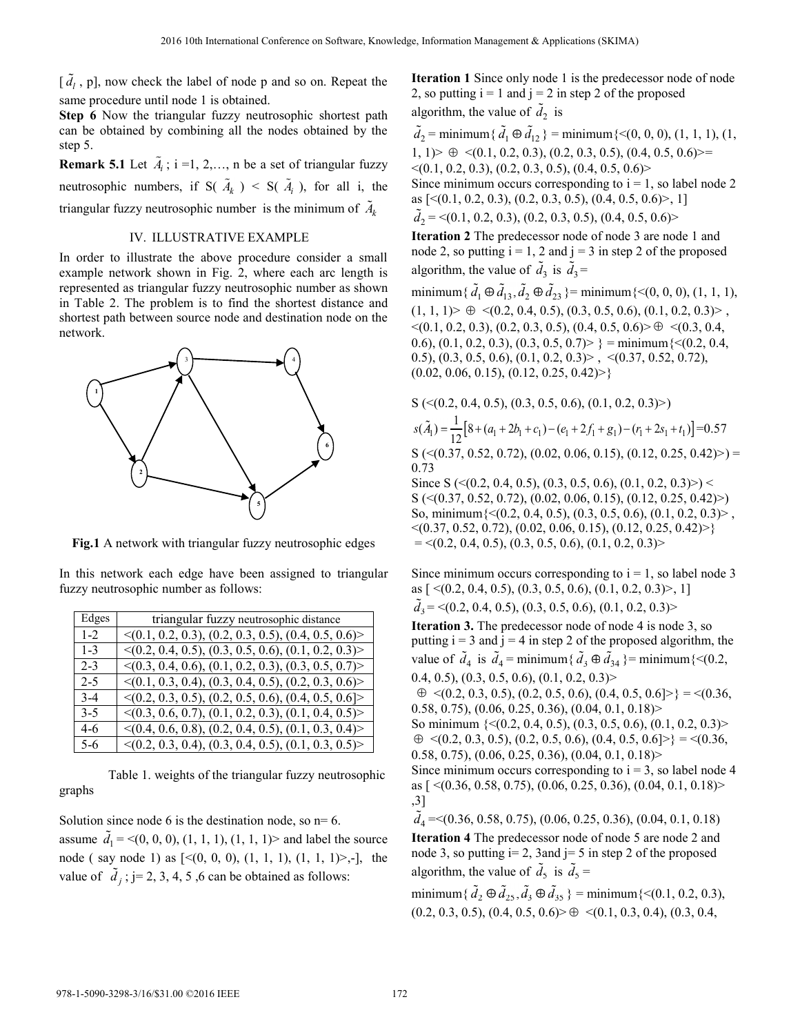$\lbrack \overline{d}_l$ , p], now check the label of node p and so on. Repeat the same procedure until node 1 is obtained.

**Step 6** Now the triangular fuzzy neutrosophic shortest path can be obtained by combining all the nodes obtained by the step 5.

**Remark 5.1** Let  $\tilde{A}_i$ ; i =1, 2,..., n be a set of triangular fuzzy neutrosophic numbers, if  $S(\tilde{A}_k) < S(\tilde{A}_i)$ , for all i, the triangular fuzzy neutrosophic number is the minimum of  $\tilde{A}_k$ 

## IV. ILLUSTRATIVE EXAMPLE

In order to illustrate the above procedure consider a small example network shown in Fig. 2, where each arc length is represented as triangular fuzzy neutrosophic number as shown in Table 2. The problem is to find the shortest distance and shortest path between source node and destination node on the network.



**Fig.1** A network with triangular fuzzy neutrosophic edges

In this network each edge have been assigned to triangular fuzzy neutrosophic number as follows:

| Edges   | triangular fuzzy neutrosophic distance                              |
|---------|---------------------------------------------------------------------|
| $1-2$   | $\langle (0.1, 0.2, 0.3), (0.2, 0.3, 0.5), (0.4, 0.5, 0.6) \rangle$ |
| $1 - 3$ | $\langle (0.2, 0.4, 0.5), (0.3, 0.5, 0.6), (0.1, 0.2, 0.3) \rangle$ |
| 2-3     | $\langle (0.3, 0.4, 0.6), (0.1, 0.2, 0.3), (0.3, 0.5, 0.7) \rangle$ |
| $2 - 5$ | $\langle (0.1, 0.3, 0.4), (0.3, 0.4, 0.5), (0.2, 0.3, 0.6) \rangle$ |
| $3-4$   | $\langle (0.2, 0.3, 0.5), (0.2, 0.5, 0.6), (0.4, 0.5, 0.6) \rangle$ |
| $3-5$   | $\langle (0.3, 0.6, 0.7), (0.1, 0.2, 0.3), (0.1, 0.4, 0.5) \rangle$ |
| 4-6     | $\langle (0.4, 0.6, 0.8), (0.2, 0.4, 0.5), (0.1, 0.3, 0.4) \rangle$ |
| 5-6     | $\langle (0.2, 0.3, 0.4), (0.3, 0.4, 0.5), (0.1, 0.3, 0.5) \rangle$ |

 Table 1. weights of the triangular fuzzy neutrosophic graphs

Solution since node 6 is the destination node, so  $n=6$ . assume  $\tilde{d}_1 = \langle (0, 0, 0), (1, 1, 1), (1, 1, 1) \rangle$  and label the source node ( say node 1) as  $\lceil \leq (0, 0, 0), (1, 1, 1), (1, 1, 1) \rangle$ ,-1, the value of  $\tilde{d}_i$ ; j= 2, 3, 4, 5, 6 can be obtained as follows:

**Iteration 1** Since only node 1 is the predecessor node of node 2, so putting  $i = 1$  and  $j = 2$  in step 2 of the proposed algorithm, the value of  $d_2$  is

 $\tilde{d}_2$  = minimum { $\tilde{d}_1 \oplus \tilde{d}_{12}$ } = minimum {<(0, 0, 0), (1, 1, 1), (1,  $|1, 1\rangle$   $\oplus \langle (0.1, 0.2, 0.3), (0.2, 0.3, 0.5), (0.4, 0.5, 0.6)\rangle =$  $\langle (0.1, 0.2, 0.3), (0.2, 0.3, 0.5), (0.4, 0.5, 0.6) \rangle$ Since minimum occurs corresponding to  $i = 1$ , so label node 2 as  $[<(0.1, 0.2, 0.3), (0.2, 0.3, 0.5), (0.4, 0.5, 0.6)$ , 1]  $\tilde{d}_2$  = <(0.1, 0.2, 0.3), (0.2, 0.3, 0.5), (0.4, 0.5, 0.6)>

**Iteration 2** The predecessor node of node 3 are node 1 and node 2, so putting  $i = 1, 2$  and  $j = 3$  in step 2 of the proposed algorithm, the value of  $\tilde{d}_3$  is  $\tilde{d}_3$  =

minimum{ $\tilde{d}_1 \oplus \tilde{d}_{13}, \tilde{d}_2 \oplus \tilde{d}_{23}$ }= minimum{<(0, 0, 0), (1, 1, 1),  $(1, 1, 1)$   $\geq \oplus \langle (0.2, 0.4, 0.5), (0.3, 0.5, 0.6), (0.1, 0.2, 0.3) \rangle$ ,  $\leq$ (0.1, 0.2, 0.3), (0.2, 0.3, 0.5), (0.4, 0.5, 0.6)  $\geq \oplus \leq$  (0.3, 0.4, 0.6), (0.1, 0.2, 0.3), (0.3, 0.5, 0.7) > } = minimum  $\{<(0.2, 0.4, ...)$ 0.5), (0.3, 0.5, 0.6), (0.1, 0.2, 0.3) > ,  $\langle$ (0.37, 0.52, 0.72),  $(0.02, 0.06, 0.15), (0.12, 0.25, 0.42)$ 

$$
S \left( \langle 0.2, 0.4, 0.5 \rangle, (0.3, 0.5, 0.6), (0.1, 0.2, 0.3) \rangle \right)
$$
  
\n
$$
s(\tilde{A}_1) = \frac{1}{12} \left[ 8 + (a_1 + 2b_1 + c_1) - (e_1 + 2f_1 + g_1) - (r_1 + 2s_1 + t_1) \right] = 0.57
$$
  
\n
$$
S \left( \langle 0.37, 0.52, 0.72 \rangle, (0.02, 0.06, 0.15), (0.12, 0.25, 0.42) \rangle \right) =
$$

0.73 Since S ( $\leq$  (0.2, 0.4, 0.5), (0.3, 0.5, 0.6), (0.1, 0.2, 0.3) $>$ )  $\leq$ S (<(0.37, 0.52, 0.72), (0.02, 0.06, 0.15), (0.12, 0.25, 0.42)>) So, minimum{<(0.2, 0.4, 0.5), (0.3, 0.5, 0.6), (0.1, 0.2, 0.3)> ,

 $\langle (0.37, 0.52, 0.72), (0.02, 0.06, 0.15), (0.12, 0.25, 0.42) \rangle$  $=$  <(0.2, 0.4, 0.5), (0.3, 0.5, 0.6), (0.1, 0.2, 0.3)>

Since minimum occurs corresponding to  $i = 1$ , so label node 3 as  $[ \le (0.2, 0.4, 0.5), (0.3, 0.5, 0.6), (0.1, 0.2, 0.3) >$ , 1]  $\tilde{d}_3$  = <(0.2, 0.4, 0.5), (0.3, 0.5, 0.6), (0.1, 0.2, 0.3)>

**Iteration 3.** The predecessor node of node 4 is node 3, so putting  $i = 3$  and  $j = 4$  in step 2 of the proposed algorithm, the value of  $\tilde{d}_4$  is  $\tilde{d}_4$  = minimum{ $\tilde{d}_3 \oplus \tilde{d}_{34}$ }= minimum{<(0.2, 0.4, 0.5),  $(0.3, 0.5, 0.6), (0.1, 0.2, 0.3)$  $\oplus \langle (0.2, 0.3, 0.5), (0.2, 0.5, 0.6), (0.4, 0.5, 0.6) \rangle = \langle (0.36,$ 0.58, 0.75),  $(0.06, 0.25, 0.36)$ ,  $(0.04, 0.1, 0.18)$ So minimum {<(0.2, 0.4, 0.5), (0.3, 0.5, 0.6), (0.1, 0.2, 0.3)>  $\oplus \langle (0.2, 0.3, 0.5), (0.2, 0.5, 0.6), (0.4, 0.5, 0.6) \rangle$  =  $\langle (0.36, 0.5, 0.6), (0.4, 0.5, 0.6) \rangle$ 0.58, 0.75),  $(0.06, 0.25, 0.36)$ ,  $(0.04, 0.1, 0.18)$ Since minimum occurs corresponding to  $i = 3$ , so label node 4 as  $[ \leq (0.36, 0.58, 0.75), (0.06, 0.25, 0.36), (0.04, 0.1, 0.18) \geq$ 

$$
(0.50, 0.75)
$$
,  $(0.00, 0.25)$ 

 $\tilde{d}_4$  = < (0.36, 0.58, 0.75), (0.06, 0.25, 0.36), (0.04, 0.1, 0.18) **Iteration 4** The predecessor node of node 5 are node 2 and node 3, so putting  $i=2$ , 3 and  $j=5$  in step 2 of the proposed algorithm, the value of  $\tilde{d}_5$  is  $\tilde{d}_5$  =

minimum { $\tilde{d}_2 \oplus \tilde{d}_{25}, \tilde{d}_3 \oplus \tilde{d}_{35}$ } = minimum {<(0.1, 0.2, 0.3),  $(0.2, 0.3, 0.5), (0.4, 0.5, 0.6)$   $\geq \oplus \leq (0.1, 0.3, 0.4), (0.3, 0.4,$ 

,3]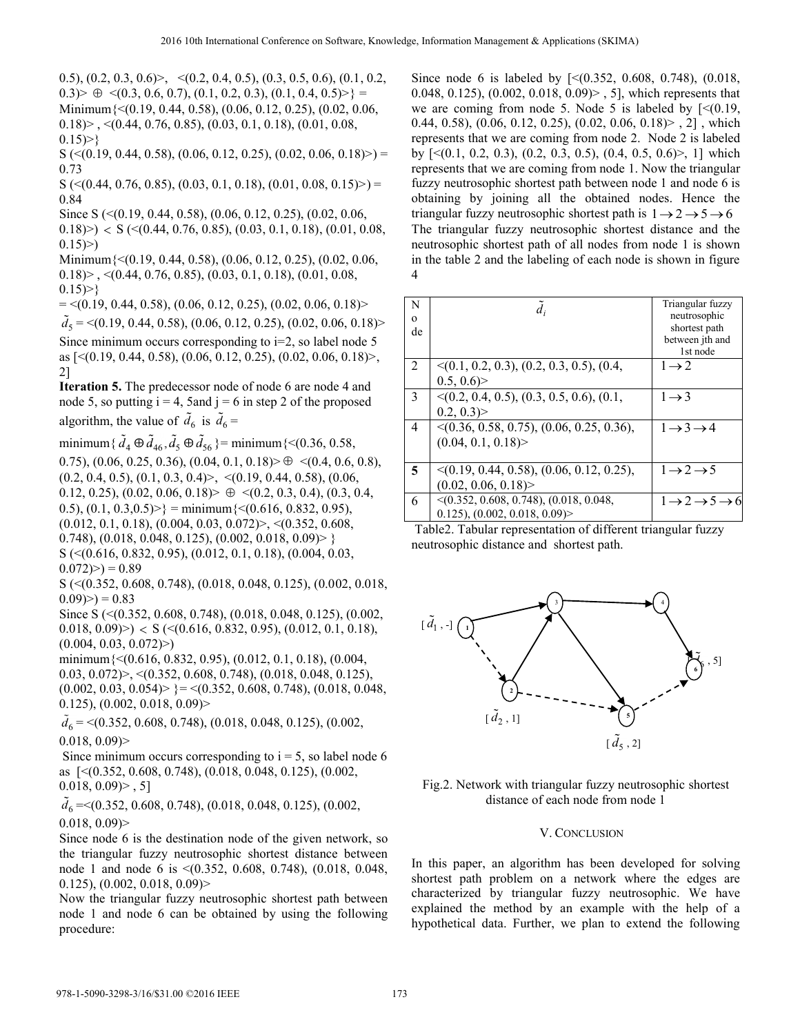0.5),  $(0.2, 0.3, 0.6)$ ,  $\langle (0.2, 0.4, 0.5), (0.3, 0.5, 0.6), (0.1, 0.2,$  $0.3$   $\rightarrow \oplus \langle (0.3, 0.6, 0.7), (0.1, 0.2, 0.3), (0.1, 0.4, 0.5) \rangle$  = Minimum{<(0.19, 0.44, 0.58), (0.06, 0.12, 0.25), (0.02, 0.06,  $(0.18)$   $\geq$   $\leq$   $(0.44, 0.76, 0.85)$ ,  $(0.03, 0.1, 0.18)$ ,  $(0.01, 0.08, 0.15)$  $0.15$  > }

 $S \left( \leq (0.19, 0.44, 0.58), (0.06, 0.12, 0.25), (0.02, 0.06, 0.18) \right)$  = 0.73

 $S \left( \leq (0.44, 0.76, 0.85), (0.03, 0.1, 0.18), (0.01, 0.08, 0.15) \right) =$ 0.84

Since S (<(0.19, 0.44, 0.58), (0.06, 0.12, 0.25), (0.02, 0.06,

 $(0.18)$  >  $\leq S$  ( $\leq$ (0.44, 0.76, 0.85), (0.03, 0.1, 0.18), (0.01, 0.08,  $0.15)$ 

Minimum{<(0.19, 0.44, 0.58), (0.06, 0.12, 0.25), (0.02, 0.06,  $(0.18)$ , <(0.44, 0.76, 0.85), (0.03, 0.1, 0.18), (0.01, 0.08,  $0.15$ )>}

 $=$  <(0.19, 0.44, 0.58), (0.06, 0.12, 0.25), (0.02, 0.06, 0.18)>

 $d_5 = \langle (0.19, 0.44, 0.58), (0.06, 0.12, 0.25), (0.02, 0.06, 0.18) \rangle$ Since minimum occurs corresponding to  $i=2$ , so label node 5 as [<(0.19, 0.44, 0.58), (0.06, 0.12, 0.25), (0.02, 0.06, 0.18)>, 2]

**Iteration 5.** The predecessor node of node 6 are node 4 and node 5, so putting  $i = 4$ , 5 and  $j = 6$  in step 2 of the proposed algorithm, the value of  $\tilde{d}_6$  is  $\tilde{d}_6$  =

minimum { $\tilde{d}_4 \oplus \tilde{d}_{46}, \tilde{d}_5 \oplus \tilde{d}_{56}$ } = minimum {<(0.36, 0.58,

0.75),  $(0.06, 0.25, 0.36)$ ,  $(0.04, 0.1, 0.18) > \oplus \langle (0.4, 0.6, 0.8),$  $(0.2, 0.4, 0.5), (0.1, 0.3, 0.4)$ ,  $\langle (0.19, 0.44, 0.58), (0.06, 0.44, 0.5)$ 0.12, 0.25), (0.02, 0.06, 0.18)  $\triangleright \oplus \triangleleft (0.2, 0.3, 0.4), (0.3, 0.4,$ 0.5),  $(0.1, 0.3, 0.5)$  = minimum $\{<(0.616, 0.832, 0.95),$  $(0.012, 0.1, 0.18), (0.004, 0.03, 0.072)$ ,  $\leq (0.352, 0.608, 0.072)$ 0.748),  $(0.018, 0.048, 0.125)$ ,  $(0.002, 0.018, 0.09)$  > } S (<(0.616, 0.832, 0.95), (0.012, 0.1, 0.18), (0.004, 0.03,  $(0.072)$  = 0.89

S (<(0.352, 0.608, 0.748), (0.018, 0.048, 0.125), (0.002, 0.018,  $(0.09)$   $>$  ) = 0.83

Since S (<(0.352, 0.608, 0.748), (0.018, 0.048, 0.125), (0.002,  $(0.018, 0.09)$  >  $\leq S$  ( $\leq$ (0.616, 0.832, 0.95), (0.012, 0.1, 0.18),  $(0.004, 0.03, 0.072)$ 

minimum{<(0.616, 0.832, 0.95), (0.012, 0.1, 0.18), (0.004, 0.03, 0.072)>, <(0.352, 0.608, 0.748), (0.018, 0.048, 0.125),  $(0.002, 0.03, 0.054)$  = < $(0.352, 0.608, 0.748)$ ,  $(0.018, 0.048, 0.048)$ 0.125), (0.002, 0.018, 0.09)>

 $\tilde{d}_6$  = <(0.352, 0.608, 0.748), (0.018, 0.048, 0.125), (0.002,  $0.018, 0.09$ 

Since minimum occurs corresponding to  $i = 5$ , so label node 6 as [<(0.352, 0.608, 0.748), (0.018, 0.048, 0.125), (0.002,  $0.018, 0.09$  $>$ , 5]

 $\tilde{d}_6$  = < (0.352, 0.608, 0.748), (0.018, 0.048, 0.125), (0.002,  $0.018, 0.09$ 

Since node 6 is the destination node of the given network, so the triangular fuzzy neutrosophic shortest distance between node 1 and node 6 is <(0.352, 0.608, 0.748), (0.018, 0.048, 0.125), (0.002, 0.018, 0.09)>

Now the triangular fuzzy neutrosophic shortest path between node 1 and node 6 can be obtained by using the following procedure:

Since node 6 is labeled by [<(0.352, 0.608, 0.748), (0.018, 0.048, 0.125), (0.002, 0.018, 0.09)> , 5], which represents that we are coming from node 5. Node 5 is labeled by  $\lceil \leq (0.19, 1.006) \rceil$ 0.44, 0.58), (0.06, 0.12, 0.25), (0.02, 0.06, 0.18)> , 2] , which represents that we are coming from node 2. Node 2 is labeled by  $\lceil \langle (0.1, 0.2, 0.3), (0.2, 0.3, 0.5), (0.4, 0.5, 0.6) \rangle$ , 1] which represents that we are coming from node 1. Now the triangular fuzzy neutrosophic shortest path between node 1 and node 6 is obtaining by joining all the obtained nodes. Hence the triangular fuzzy neutrosophic shortest path is  $1 \rightarrow 2 \rightarrow 5 \rightarrow 6$ The triangular fuzzy neutrosophic shortest distance and the neutrosophic shortest path of all nodes from node 1 is shown in the table 2 and the labeling of each node is shown in figure 4

| N<br>$\mathbf{O}$ |                                                | Triangular fuzzy<br>neutrosophic              |
|-------------------|------------------------------------------------|-----------------------------------------------|
| de                |                                                | shortest path                                 |
|                   |                                                | between jth and<br>1st node                   |
| 2                 | $\leq$ (0.1, 0.2, 0.3), (0.2, 0.3, 0.5), (0.4, | $1\rightarrow 2$                              |
|                   | 0.5, 0.6                                       |                                               |
| 3                 | $\leq$ (0.2, 0.4, 0.5), (0.3, 0.5, 0.6), (0.1, | $1 \rightarrow 3$                             |
|                   | $0.2, 0.3$ )                                   |                                               |
| 4                 | $\leq$ (0.36, 0.58, 0.75), (0.06, 0.25, 0.36), | $1 \rightarrow 3 \rightarrow 4$               |
|                   | (0.04, 0.1, 0.18)                              |                                               |
|                   |                                                |                                               |
| 5                 | $\leq$ (0.19, 0.44, 0.58), (0.06, 0.12, 0.25), | $1 \rightarrow 2 \rightarrow 5$               |
|                   | (0.02, 0.06, 0.18)                             |                                               |
| 6                 | $\leq$ (0.352, 0.608, 0.748), (0.018, 0.048,   | $1 \rightarrow 2 \rightarrow 5 \rightarrow 6$ |
|                   | (0.125), (0.002, 0.018, 0.09)                  |                                               |

 Table2. Tabular representation of different triangular fuzzy neutrosophic distance and shortest path.





## V. CONCLUSION

In this paper, an algorithm has been developed for solving shortest path problem on a network where the edges are characterized by triangular fuzzy neutrosophic. We have explained the method by an example with the help of a hypothetical data. Further, we plan to extend the following